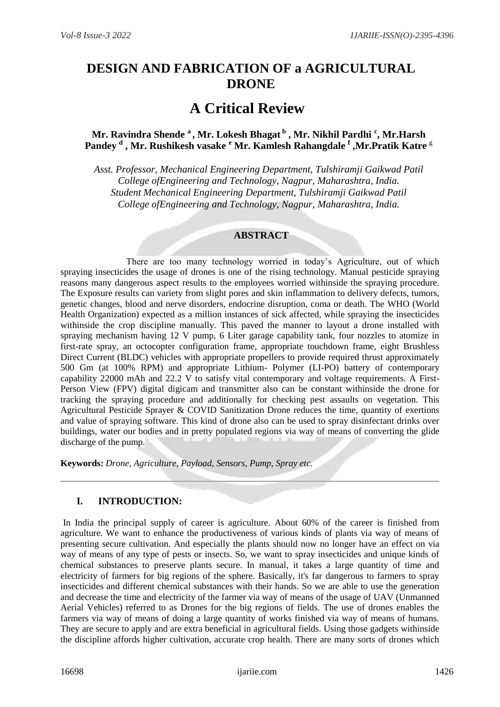# **DESIGN AND FABRICATION OF a AGRICULTURAL DRONE**

# **A Critical Review**

# **Mr. Ravindra Shende <sup>a</sup> , Mr. Lokesh Bhagat <sup>b</sup> , Mr. Nikhil Pardhi <sup>c</sup> , Mr.Harsh Pandey <sup>d</sup> , Mr. Rushikesh vasake <sup>e</sup> Mr. Kamlesh Rahangdale <sup>f</sup> ,Mr.Pratik Katre** <sup>g</sup>

*Asst. Professor, Mechanical Engineering Department, Tulshiramji Gaikwad Patil College ofEngineering and Technology, Nagpur, Maharashtra, India. Student Mechanical Engineering Department, Tulshiramji Gaikwad Patil College ofEngineering and Technology, Nagpur, Maharashtra, India.*

# **ABSTRACT**

 There are too many technology worried in today's Agriculture, out of which spraying insecticides the usage of drones is one of the rising technology. Manual pesticide spraying reasons many dangerous aspect results to the employees worried withinside the spraying procedure. The Exposure results can variety from slight pores and skin inflammation to delivery defects, tumors, genetic changes, blood and nerve disorders, endocrine disruption, coma or death. The WHO (World Health Organization) expected as a million instances of sick affected, while spraying the insecticides withinside the crop discipline manually. This paved the manner to layout a drone installed with spraying mechanism having 12 V pump, 6 Liter garage capability tank, four nozzles to atomize in first-rate spray, an octocopter configuration frame, appropriate touchdown frame, eight Brushless Direct Current (BLDC) vehicles with appropriate propellers to provide required thrust approximately 500 Gm (at 100% RPM) and appropriate Lithium- Polymer (LI-PO) battery of contemporary capability 22000 mAh and 22.2 V to satisfy vital contemporary and voltage requirements. A First-Person View (FPV) digital digicam and transmitter also can be constant withinside the drone for tracking the spraying procedure and additionally for checking pest assaults on vegetation. This Agricultural Pesticide Sprayer & COVID Sanitization Drone reduces the time, quantity of exertions and value of spraying software. This kind of drone also can be used to spray disinfectant drinks over buildings, water our bodies and in pretty populated regions via way of means of converting the glide discharge of the pump.

**Keywords:** *Drone, Agriculture, Payload, Sensors, Pump, Spray etc.*

# **I. INTRODUCTION:**

In India the principal supply of career is agriculture. About 60% of the career is finished from agriculture. We want to enhance the productiveness of various kinds of plants via way of means of presenting secure cultivation. And especially the plants should now no longer have an effect on via way of means of any type of pests or insects. So, we want to spray insecticides and unique kinds of chemical substances to preserve plants secure. In manual, it takes a large quantity of time and electricity of farmers for big regions of the sphere. Basically, it's far dangerous to farmers to spray insecticides and different chemical substances with their hands. So we are able to use the generation and decrease the time and electricity of the farmer via way of means of the usage of UAV (Unmanned Aerial Vehicles) referred to as Drones for the big regions of fields. The use of drones enables the farmers via way of means of doing a large quantity of works finished via way of means of humans. They are secure to apply and are extra beneficial in agricultural fields. Using those gadgets withinside the discipline affords higher cultivation, accurate crop health. There are many sorts of drones which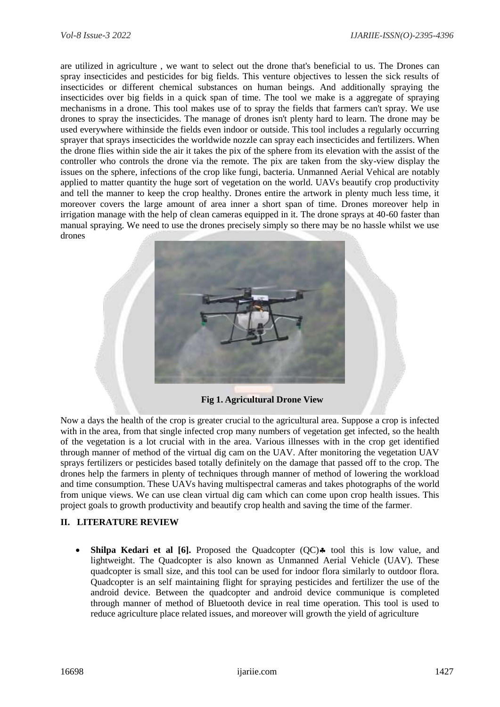are utilized in agriculture , we want to select out the drone that's beneficial to us. The Drones can spray insecticides and pesticides for big fields. This venture objectives to lessen the sick results of insecticides or different chemical substances on human beings. And additionally spraying the insecticides over big fields in a quick span of time. The tool we make is a aggregate of spraying mechanisms in a drone. This tool makes use of to spray the fields that farmers can't spray. We use drones to spray the insecticides. The manage of drones isn't plenty hard to learn. The drone may be used everywhere withinside the fields even indoor or outside. This tool includes a regularly occurring sprayer that sprays insecticides the worldwide nozzle can spray each insecticides and fertilizers. When the drone flies within side the air it takes the pix of the sphere from its elevation with the assist of the controller who controls the drone via the remote. The pix are taken from the sky-view display the issues on the sphere, infections of the crop like fungi, bacteria. Unmanned Aerial Vehical are notably applied to matter quantity the huge sort of vegetation on the world. UAVs beautify crop productivity and tell the manner to keep the crop healthy. Drones entire the artwork in plenty much less time, it moreover covers the large amount of area inner a short span of time. Drones moreover help in irrigation manage with the help of clean cameras equipped in it. The drone sprays at 40-60 faster than manual spraying. We need to use the drones precisely simply so there may be no hassle whilst we use drones



 **Fig 1. Agricultural Drone View**

Now a days the health of the crop is greater crucial to the agricultural area. Suppose a crop is infected with in the area, from that single infected crop many numbers of vegetation get infected, so the health of the vegetation is a lot crucial with in the area. Various illnesses with in the crop get identified through manner of method of the virtual dig cam on the UAV. After monitoring the vegetation UAV sprays fertilizers or pesticides based totally definitely on the damage that passed off to the crop. The drones help the farmers in plenty of techniques through manner of method of lowering the workload and time consumption. These UAVs having multispectral cameras and takes photographs of the world from unique views. We can use clean virtual dig cam which can come upon crop health issues. This project goals to growth productivity and beautify crop health and saving the time of the farmer.

# **II. LITERATURE REVIEW**

• Shilpa Kedari et al [6]. Proposed the Quadcopter (QC) • tool this is low value, and lightweight. The Quadcopter is also known as Unmanned Aerial Vehicle (UAV). These quadcopter is small size, and this tool can be used for indoor flora similarly to outdoor flora. Quadcopter is an self maintaining flight for spraying pesticides and fertilizer the use of the android device. Between the quadcopter and android device communique is completed through manner of method of Bluetooth device in real time operation. This tool is used to reduce agriculture place related issues, and moreover will growth the yield of agriculture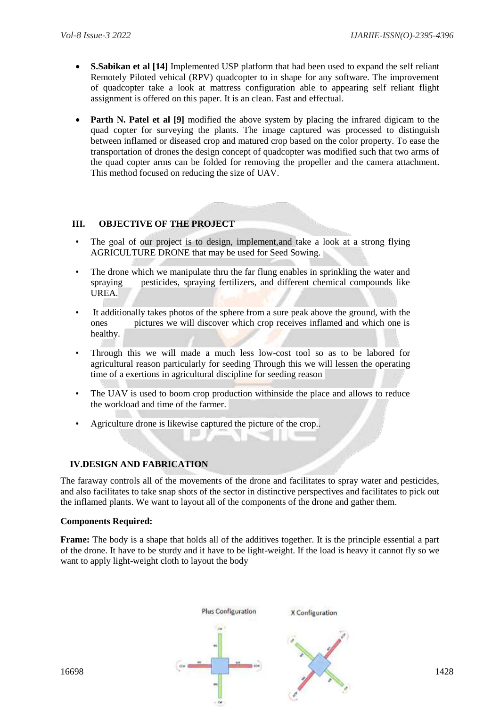- **S.Sabikan et al [14]** Implemented USP platform that had been used to expand the self reliant Remotely Piloted vehical (RPV) quadcopter to in shape for any software. The improvement of quadcopter take a look at mattress configuration able to appearing self reliant flight assignment is offered on this paper. It is an clean. Fast and effectual.
- **Parth N. Patel et al [9]** modified the above system by placing the infrared digicam to the quad copter for surveying the plants. The image captured was processed to distinguish between inflamed or diseased crop and matured crop based on the color property. To ease the transportation of drones the design concept of quadcopter was modified such that two arms of the quad copter arms can be folded for removing the propeller and the camera attachment. This method focused on reducing the size of UAV.

# **III. OBJECTIVE OF THE PROJECT**

- The goal of our project is to design, implement, and take a look at a strong flying AGRICULTURE DRONE that may be used for Seed Sowing.
- The drone which we manipulate thru the far flung enables in sprinkling the water and spraying pesticides, spraying fertilizers, and different chemical compounds like UREA.
- It additionally takes photos of the sphere from a sure peak above the ground, with the ones pictures we will discover which crop receives inflamed and which one is healthy.
- Through this we will made a much less low-cost tool so as to be labored for agricultural reason particularly for seeding Through this we will lessen the operating time of a exertions in agricultural discipline for seeding reason
- The UAV is used to boom crop production withinside the place and allows to reduce the workload and time of the farmer.
- Agriculture drone is likewise captured the picture of the crop..

### **IV.DESIGN AND FABRICATION**

The faraway controls all of the movements of the drone and facilitates to spray water and pesticides, and also facilitates to take snap shots of the sector in distinctive perspectives and facilitates to pick out the inflamed plants. We want to layout all of the components of the drone and gather them.

#### **Components Required:**

**Frame:** The body is a shape that holds all of the additives together. It is the principle essential a part of the drone. It have to be sturdy and it have to be light-weight. If the load is heavy it cannot fly so we want to apply light-weight cloth to layout the body

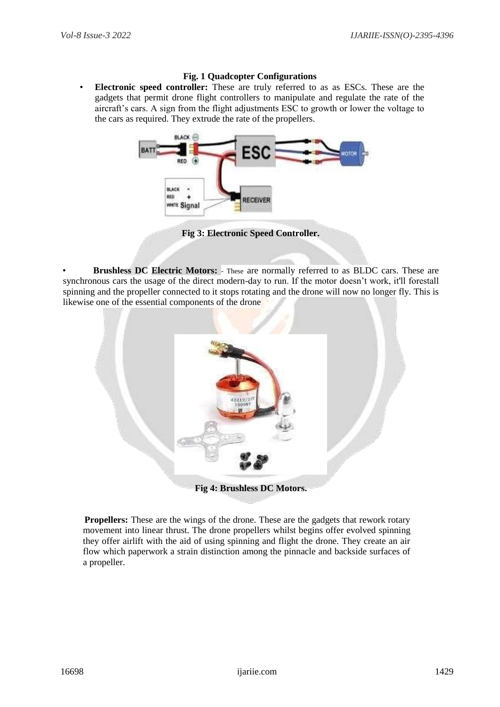### **Fig. 1 Quadcopter Configurations**

• **Electronic speed controller:** These are truly referred to as as ESCs. These are the gadgets that permit drone flight controllers to manipulate and regulate the rate of the aircraft's cars. A sign from the flight adjustments ESC to growth or lower the voltage to the cars as required. They extrude the rate of the propellers.



**Fig 3: Electronic Speed Controller.**

• **Brushless DC Electric Motors:** - These are normally referred to as BLDC cars. These are synchronous cars the usage of the direct modern-day to run. If the motor doesn't work, it'll forestall spinning and the propeller connected to it stops rotating and the drone will now no longer fly. This is likewise one of the essential components of the drone



**Propellers:** These are the wings of the drone. These are the gadgets that rework rotary movement into linear thrust. The drone propellers whilst begins offer evolved spinning they offer airlift with the aid of using spinning and flight the drone. They create an air flow which paperwork a strain distinction among the pinnacle and backside surfaces of a propeller.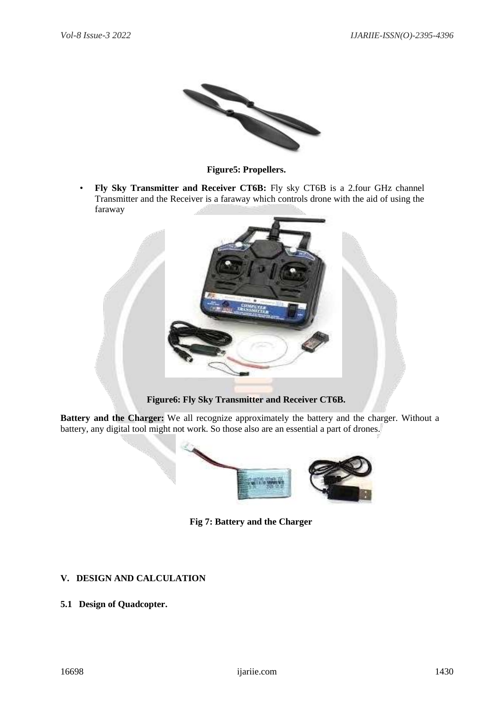

**Figure5: Propellers.** 

• **Fly Sky Transmitter and Receiver CT6B:** Fly sky CT6B is a 2.four GHz channel Transmitter and the Receiver is a faraway which controls drone with the aid of using the faraway



**Figure6: Fly Sky Transmitter and Receiver CT6B.** 

**Battery and the Charger:** We all recognize approximately the battery and the charger. Without a battery, any digital tool might not work. So those also are an essential a part of drones.



**Fig 7: Battery and the Charger**

# **V. DESIGN AND CALCULATION**

# **5.1 Design of Quadcopter.**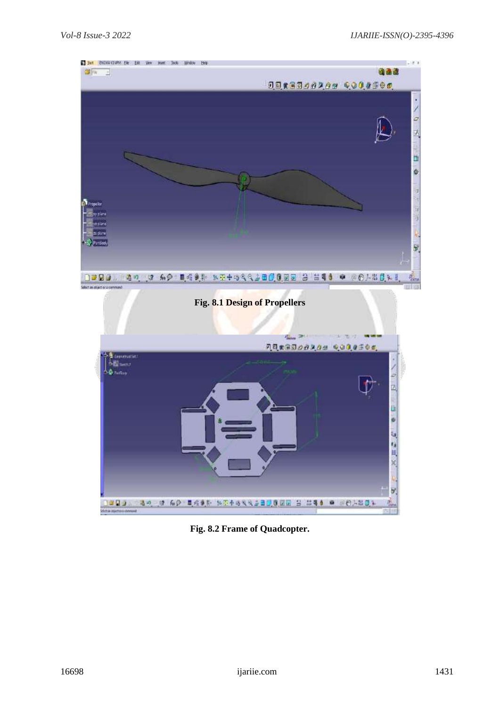

**Fig. 8.2 Frame of Quadcopter.**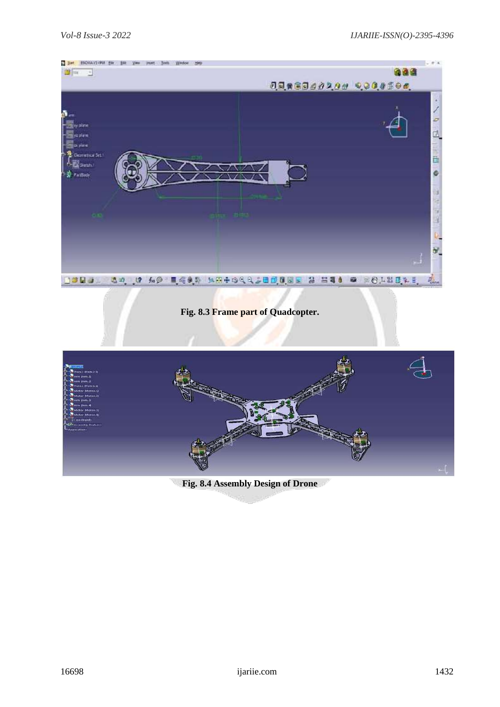

# **Fig. 8.3 Frame part of Quadcopter.**



**Fig. 8.4 Assembly Design of Drone**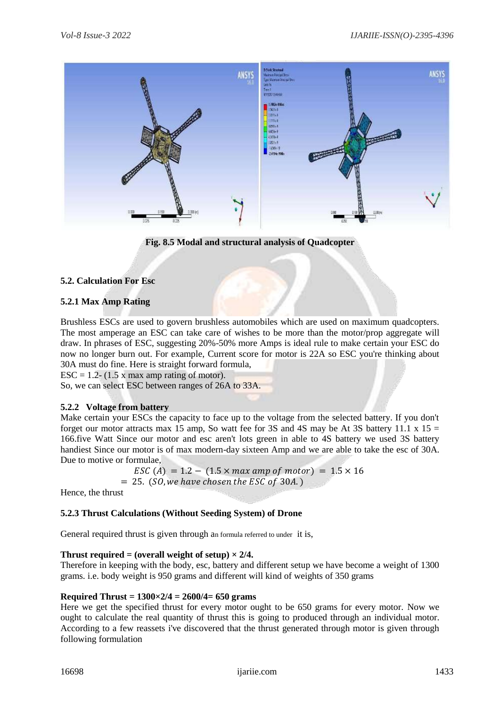

**Fig. 8.5 Modal and structural analysis of Quadcopter**

### **5.2. Calculation For Esc**

### **5.2.1 Max Amp Rating**

Brushless ESCs are used to govern brushless automobiles which are used on maximum quadcopters. The most amperage an ESC can take care of wishes to be more than the motor/prop aggregate will draw. In phrases of ESC, suggesting 20%-50% more Amps is ideal rule to make certain your ESC do now no longer burn out. For example, Current score for motor is 22A so ESC you're thinking about 30A must do fine. Here is straight forward formula,

ESC = 1.2- (1.5 x max amp rating of motor).

So, we can select ESC between ranges of 26A to 33A.

### **5.2.2 Voltage from battery**

Make certain your ESCs the capacity to face up to the voltage from the selected battery. If you don't forget our motor attracts max 15 amp, So watt fee for 3S and 4S may be At 3S battery 11.1 x 15  $=$ 166.five Watt Since our motor and esc aren't lots green in able to 4S battery we used 3S battery handiest Since our motor is of max modern-day sixteen Amp and we are able to take the esc of 30A. Due to motive or formulae,

```
\text{ESC} (A) = 1.2 – (1.5 \times max amp of motor) = 1.5 \times 16
= 25. (SO, we have chosen the ESC of 30A.)
```
Hence, the thrust

# **5.2.3 Thrust Calculations (Without Seeding System) of Drone**

General required thrust is given through an formula referred to under it is,

### **Thrust required = (overall weight of setup)**  $\times$  **2/4.**

Therefore in keeping with the body, esc, battery and different setup we have become a weight of 1300 grams. i.e. body weight is 950 grams and different will kind of weights of 350 grams

### **Required Thrust = 1300×2/4 = 2600/4= 650 grams**

Here we get the specified thrust for every motor ought to be 650 grams for every motor. Now we ought to calculate the real quantity of thrust this is going to produced through an individual motor. According to a few reassets i've discovered that the thrust generated through motor is given through following formulation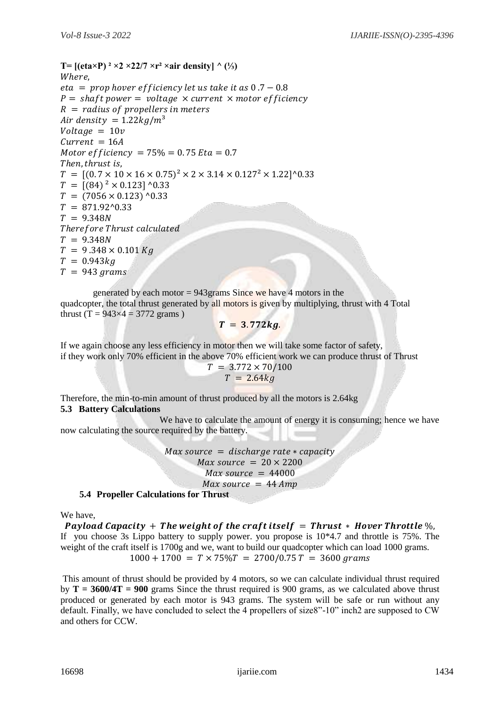T=  $[(eta \times P)^2 \times 2 \times 22/7 \times r^2 \times air density]$  ^ (⅓) Where,  $eta = prop$  hover efficiency let us take it as  $0.7 - 0.8$  $P = shaff power = voltage \times current \times motor efficiency$  $R =$  radius of propellers in meters Air density =  $1.22kg/m^3$  $Voltage = 10v$  $Current = 16A$ Motor efficiency =  $75\%$  = 0.75 Eta = 0.7 Then, thrust is,  $T = [(0.7 \times 10 \times 16 \times 0.75)^2 \times 2 \times 3.14 \times 0.127^2 \times 1.22]$ <sup>1</sup>0.33  $T = [(84)^2 \times 0.123]$  ^0.33  $T = (7056 \times 0.123)$  ^0.33  $T = 871.92^{\circ}0.33$  $T = 9.348N$ Therefore Thrust calculated  $T = 9.348N$  $T = 9.348 \times 0.101$  Kg  $T = 0.943 kq$  $T = 943 \text{ grams}$ 

generated by each motor  $= 943$  grams Since we have 4 motors in the quadcopter, the total thrust generated by all motors is given by multiplying, thrust with 4 Total thrust (T =  $943 \times 4 = 3772$  grams)

$$
T = 3.772kg.
$$

If we again choose any less efficiency in motor then we will take some factor of safety, if they work only 70% efficient in the above 70% efficient work we can produce thrust of Thrust

$$
T = 3.772 \times 70/100
$$

$$
T = 2.64kg
$$

Therefore, the min-to-min amount of thrust produced by all the motors is 2.64kg **5.3 Battery Calculations**

 We have to calculate the amount of energy it is consuming; hence we have now calculating the source required by the battery.

> $Max\ source = discharge\ rate * capacity$  $Max\ source = 20 \times 2200$  $Max\ source = 44000$  $Max\ source = 44\ Amp$

**5.4 Propeller Calculations for Thrust**

We have,

Payload Capacity  $+$  The weight of the craft itself  $=$  Thrust  $*$  Hover Throttle  $\%$ , If you choose 3s Lippo battery to supply power. you propose is 10\*4.7 and throttle is 75%. The weight of the craft itself is 1700g and we, want to build our quadcopter which can load 1000 grams.  $1000 + 1700 = T \times 75\%T = 2700/0.75T = 3600$  grams

This amount of thrust should be provided by 4 motors, so we can calculate individual thrust required by **T = 3600/4T = 900** grams Since the thrust required is 900 grams, as we calculated above thrust produced or generated by each motor is 943 grams. The system will be safe or run without any default. Finally, we have concluded to select the 4 propellers of size8"-10" inch2 are supposed to CW and others for CCW.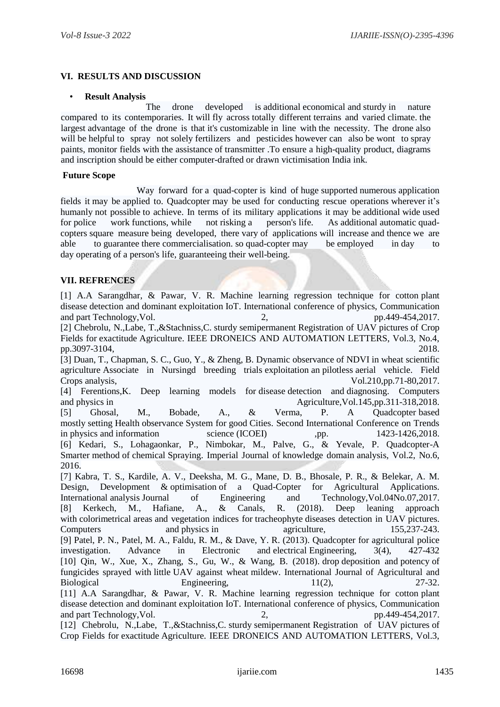### **VI. RESULTS AND DISCUSSION**

#### • **Result Analysis**

 The drone developed is additional economical and sturdy in nature compared to its contemporaries. It will fly across totally different terrains and varied climate. the largest advantage of the drone is that it's customizable in line with the necessity. The drone also will be helpful to spray not solely fertilizers and pesticides however can also be wont to spray paints, monitor fields with the assistance of transmitter .To ensure a high-quality product, diagrams and inscription should be either computer-drafted or drawn victimisation India ink.

#### **Future Scope**

Way forward for a quad-copter is kind of huge supported numerous application fields it may be applied to. Quadcopter may be used for conducting rescue operations wherever it's humanly not possible to achieve. In terms of its military applications it may be additional wide used for police work functions, while not risking a person's life. As additional automatic quadcopters square measure being developed, there vary of applications will increase and thence we are able to guarantee there commercialisation. so quad-copter may be employed in day to day operating of a person's life, guaranteeing their well-being.

### **VII. REFRENCES**

[1] A.A Sarangdhar, & Pawar, V. R. Machine learning regression technique for cotton plant disease detection and dominant exploitation IoT. International conference of physics, Communication and part Technology, Vol. 2, pp. 449-454, 2017. [2] Chebrolu, N.,Labe, T.,&Stachniss,C. sturdy semipermanent Registration of UAV pictures of Crop Fields for exactitude Agriculture. IEEE DRONEICS AND AUTOMATION LETTERS, Vol.3, No.4, pp.3097-3104, 2018. [3] Duan, T., Chapman, S. C., Guo, Y., & Zheng, B. Dynamic observance of NDVI in wheat scientific agriculture Associate in Nursingd breeding trials exploitation an pilotless aerial vehicle. Field Crops analysis, Vol.210,pp.71-80,2017. [4] Ferentions,K. Deep learning models for disease detection and diagnosing. Computers and physics in Agriculture,Vol.145,pp.311-318,2018. [5] Ghosal, M., Bobade, A., & Verma, P. A Quadcopter based mostly setting Health observance System for good Cities. Second International Conference on Trends in physics and information science (ICOEI) ,pp. 1423-1426,2018. [6] Kedari, S., Lohagaonkar, P., Nimbokar, M., Palve, G., & Yevale, P. Quadcopter-A Smarter method of chemical Spraying. Imperial Journal of knowledge domain analysis, Vol.2, No.6, 2016. [7] Kabra, T. S., Kardile, A. V., Deeksha, M. G., Mane, D. B., Bhosale, P. R., & Belekar, A. M. Design, Development & optimisation of a Quad-Copter for Agricultural Applications. International analysis Journal of Engineering and Technology,Vol.04No.07,2017. [8] Kerkech, M., Hafiane, A., & Canals, R. (2018). Deep leaning approach with colorimetrical areas and vegetation indices for tracheophyte diseases detection in UAV pictures. Computers and physics in agriculture, 155,237-243. [9] Patel, P. N., Patel, M. A., Faldu, R. M., & Dave, Y. R. (2013). Quadcopter for agricultural police investigation. Advance in Electronic and electrical Engineering, 3(4), 427-432 [10] Qin, W., Xue, X., Zhang, S., Gu, W., & Wang, B. (2018). drop deposition and potency of fungicides sprayed with little UAV against wheat mildew. International Journal of Agricultural and Biological Engineering, 11(2), 27-32. [11] A.A Sarangdhar, & Pawar, V. R. Machine learning regression technique for cotton plant disease detection and dominant exploitation IoT. International conference of physics, Communication and part Technology, Vol. 2, https://www.facebook.com/en/and/pp.449-454,2017. [12] Chebrolu, N.,Labe, T.,&Stachniss,C. sturdy semipermanent Registration of UAV pictures of

Crop Fields for exactitude Agriculture. IEEE DRONEICS AND AUTOMATION LETTERS, Vol.3,